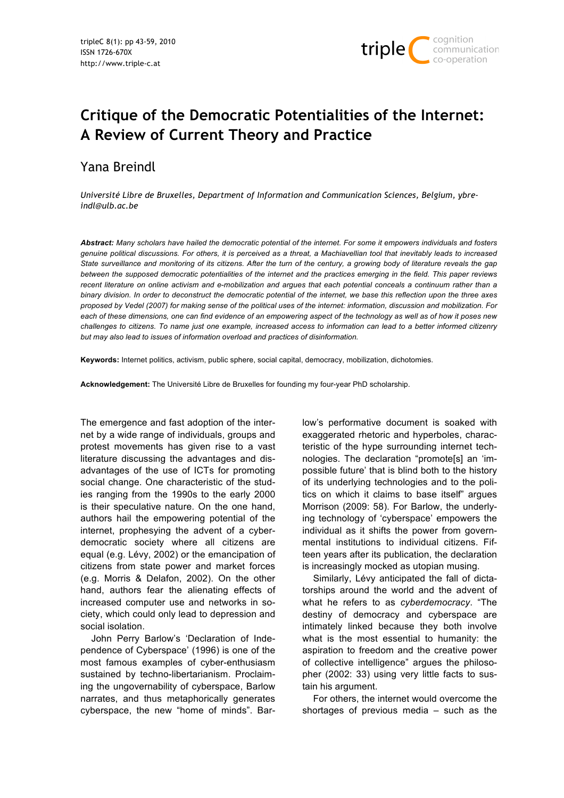

# **Critique of the Democratic Potentialities of the Internet: A Review of Current Theory and Practice**

Yana Breindl

*Université Libre de Bruxelles, Department of Information and Communication Sciences, Belgium, ybreindl@ulb.ac.be*

*Abstract: Many scholars have hailed the democratic potential of the internet. For some it empowers individuals and fosters genuine political discussions. For others, it is perceived as a threat, a Machiavellian tool that inevitably leads to increased State surveillance and monitoring of its citizens. After the turn of the century, a growing body of literature reveals the gap between the supposed democratic potentialities of the internet and the practices emerging in the field. This paper reviews recent literature on online activism and e-mobilization and argues that each potential conceals a continuum rather than a binary division. In order to deconstruct the democratic potential of the internet, we base this reflection upon the three axes proposed by Vedel (2007) for making sense of the political uses of the internet: information, discussion and mobilization. For each of these dimensions, one can find evidence of an empowering aspect of the technology as well as of how it poses new challenges to citizens. To name just one example, increased access to information can lead to a better informed citizenry but may also lead to issues of information overload and practices of disinformation.*

**Keywords:** Internet politics, activism, public sphere, social capital, democracy, mobilization, dichotomies.

**Acknowledgement:** The Université Libre de Bruxelles for founding my four-year PhD scholarship.

The emergence and fast adoption of the internet by a wide range of individuals, groups and protest movements has given rise to a vast literature discussing the advantages and disadvantages of the use of ICTs for promoting social change. One characteristic of the studies ranging from the 1990s to the early 2000 is their speculative nature. On the one hand, authors hail the empowering potential of the internet, prophesying the advent of a cyberdemocratic society where all citizens are equal (e.g. Lévy, 2002) or the emancipation of citizens from state power and market forces (e.g. Morris & Delafon, 2002). On the other hand, authors fear the alienating effects of increased computer use and networks in society, which could only lead to depression and social isolation.

John Perry Barlow's 'Declaration of Independence of Cyberspace' (1996) is one of the most famous examples of cyber-enthusiasm sustained by techno-libertarianism. Proclaiming the ungovernability of cyberspace, Barlow narrates, and thus metaphorically generates cyberspace, the new "home of minds". Barlow's performative document is soaked with exaggerated rhetoric and hyperboles, characteristic of the hype surrounding internet technologies. The declaration "promote[s] an 'impossible future' that is blind both to the history of its underlying technologies and to the politics on which it claims to base itself" argues Morrison (2009: 58). For Barlow, the underlying technology of 'cyberspace' empowers the individual as it shifts the power from governmental institutions to individual citizens. Fifteen years after its publication, the declaration is increasingly mocked as utopian musing.

Similarly, Lévy anticipated the fall of dictatorships around the world and the advent of what he refers to as *cyberdemocracy*. "The destiny of democracy and cyberspace are intimately linked because they both involve what is the most essential to humanity: the aspiration to freedom and the creative power of collective intelligence" argues the philosopher (2002: 33) using very little facts to sustain his argument.

For others, the internet would overcome the shortages of previous media – such as the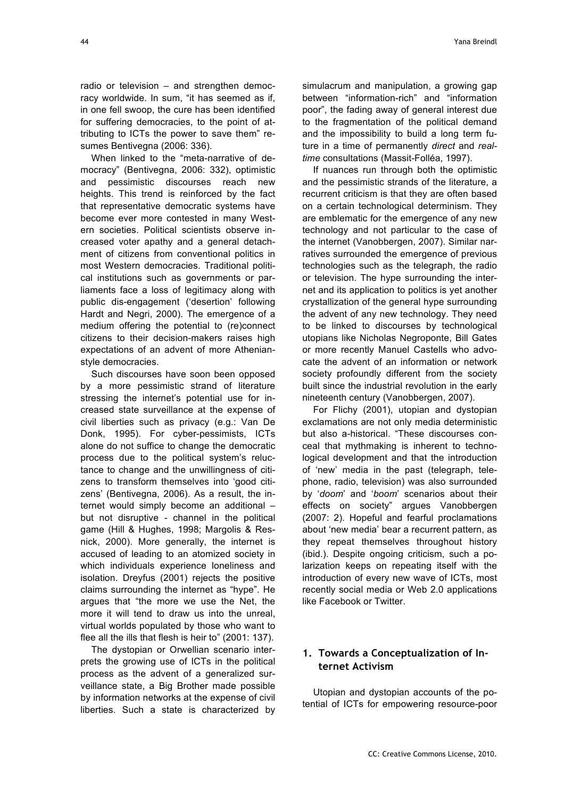radio or television – and strengthen democracy worldwide. In sum, "it has seemed as if, in one fell swoop, the cure has been identified for suffering democracies, to the point of attributing to ICTs the power to save them" resumes Bentivegna (2006: 336).

When linked to the "meta-narrative of democracy" (Bentivegna, 2006: 332), optimistic and pessimistic discourses reach new heights. This trend is reinforced by the fact that representative democratic systems have become ever more contested in many Western societies. Political scientists observe increased voter apathy and a general detachment of citizens from conventional politics in most Western democracies. Traditional political institutions such as governments or parliaments face a loss of legitimacy along with public dis-engagement ('desertion' following Hardt and Negri, 2000). The emergence of a medium offering the potential to (re)connect citizens to their decision-makers raises high expectations of an advent of more Athenianstyle democracies.

Such discourses have soon been opposed by a more pessimistic strand of literature stressing the internet's potential use for increased state surveillance at the expense of civil liberties such as privacy (e.g.: Van De Donk, 1995). For cyber-pessimists, ICTs alone do not suffice to change the democratic process due to the political system's reluctance to change and the unwillingness of citizens to transform themselves into 'good citizens' (Bentivegna, 2006). As a result, the internet would simply become an additional – but not disruptive - channel in the political game (Hill & Hughes, 1998; Margolis & Resnick, 2000). More generally, the internet is accused of leading to an atomized society in which individuals experience loneliness and isolation. Dreyfus (2001) rejects the positive claims surrounding the internet as "hype". He argues that "the more we use the Net, the more it will tend to draw us into the unreal, virtual worlds populated by those who want to flee all the ills that flesh is heir to" (2001: 137).

The dystopian or Orwellian scenario interprets the growing use of ICTs in the political process as the advent of a generalized surveillance state, a Big Brother made possible by information networks at the expense of civil liberties. Such a state is characterized by simulacrum and manipulation, a growing gap between "information-rich" and "information poor", the fading away of general interest due to the fragmentation of the political demand and the impossibility to build a long term future in a time of permanently *direct* and *realtime* consultations (Massit-Folléa, 1997).

If nuances run through both the optimistic and the pessimistic strands of the literature, a recurrent criticism is that they are often based on a certain technological determinism. They are emblematic for the emergence of any new technology and not particular to the case of the internet (Vanobbergen, 2007). Similar narratives surrounded the emergence of previous technologies such as the telegraph, the radio or television. The hype surrounding the internet and its application to politics is yet another crystallization of the general hype surrounding the advent of any new technology. They need to be linked to discourses by technological utopians like Nicholas Negroponte, Bill Gates or more recently Manuel Castells who advocate the advent of an information or network society profoundly different from the society built since the industrial revolution in the early nineteenth century (Vanobbergen, 2007).

For Flichy (2001), utopian and dystopian exclamations are not only media deterministic but also a-historical. "These discourses conceal that mythmaking is inherent to technological development and that the introduction of 'new' media in the past (telegraph, telephone, radio, television) was also surrounded by '*doom*' and '*boom*' scenarios about their effects on society" argues Vanobbergen (2007: 2). Hopeful and fearful proclamations about 'new media' bear a recurrent pattern, as they repeat themselves throughout history (ibid.). Despite ongoing criticism, such a polarization keeps on repeating itself with the introduction of every new wave of ICTs, most recently social media or Web 2.0 applications like Facebook or Twitter.

# **1. Towards a Conceptualization of Internet Activism**

Utopian and dystopian accounts of the potential of ICTs for empowering resource-poor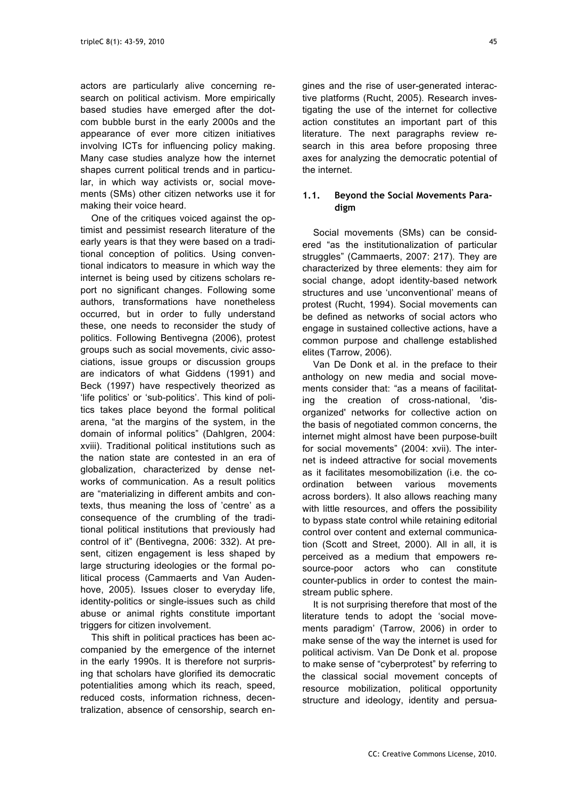actors are particularly alive concerning research on political activism. More empirically based studies have emerged after the dotcom bubble burst in the early 2000s and the appearance of ever more citizen initiatives involving ICTs for influencing policy making. Many case studies analyze how the internet shapes current political trends and in particular, in which way activists or, social movements (SMs) other citizen networks use it for making their voice heard.

One of the critiques voiced against the optimist and pessimist research literature of the early years is that they were based on a traditional conception of politics. Using conventional indicators to measure in which way the internet is being used by citizens scholars report no significant changes. Following some authors, transformations have nonetheless occurred, but in order to fully understand these, one needs to reconsider the study of politics. Following Bentivegna (2006), protest groups such as social movements, civic associations, issue groups or discussion groups are indicators of what Giddens (1991) and Beck (1997) have respectively theorized as 'life politics' or 'sub-politics'. This kind of politics takes place beyond the formal political arena, "at the margins of the system, in the domain of informal politics" (Dahlgren, 2004: xviii). Traditional political institutions such as the nation state are contested in an era of globalization, characterized by dense networks of communication. As a result politics are "materializing in different ambits and contexts, thus meaning the loss of 'centre' as a consequence of the crumbling of the traditional political institutions that previously had control of it" (Bentivegna, 2006: 332). At present, citizen engagement is less shaped by large structuring ideologies or the formal political process (Cammaerts and Van Audenhove, 2005). Issues closer to everyday life, identity-politics or single-issues such as child abuse or animal rights constitute important triggers for citizen involvement.

This shift in political practices has been accompanied by the emergence of the internet in the early 1990s. It is therefore not surprising that scholars have glorified its democratic potentialities among which its reach, speed, reduced costs, information richness, decentralization, absence of censorship, search en-

gines and the rise of user-generated interactive platforms (Rucht, 2005). Research investigating the use of the internet for collective action constitutes an important part of this literature. The next paragraphs review research in this area before proposing three axes for analyzing the democratic potential of the internet.

## **1.1. Beyond the Social Movements Paradigm**

Social movements (SMs) can be considered "as the institutionalization of particular struggles" (Cammaerts, 2007: 217). They are characterized by three elements: they aim for social change, adopt identity-based network structures and use 'unconventional' means of protest (Rucht, 1994). Social movements can be defined as networks of social actors who engage in sustained collective actions, have a common purpose and challenge established elites (Tarrow, 2006).

Van De Donk et al. in the preface to their anthology on new media and social movements consider that: "as a means of facilitating the creation of cross-national, 'disorganized' networks for collective action on the basis of negotiated common concerns, the internet might almost have been purpose-built for social movements" (2004: xvii). The internet is indeed attractive for social movements as it facilitates mesomobilization (i.e. the coordination between various movements across borders). It also allows reaching many with little resources, and offers the possibility to bypass state control while retaining editorial control over content and external communication (Scott and Street, 2000). All in all, it is perceived as a medium that empowers resource-poor actors who can constitute counter-publics in order to contest the mainstream public sphere.

It is not surprising therefore that most of the literature tends to adopt the 'social movements paradigm' (Tarrow, 2006) in order to make sense of the way the internet is used for political activism. Van De Donk et al. propose to make sense of "cyberprotest" by referring to the classical social movement concepts of resource mobilization, political opportunity structure and ideology, identity and persua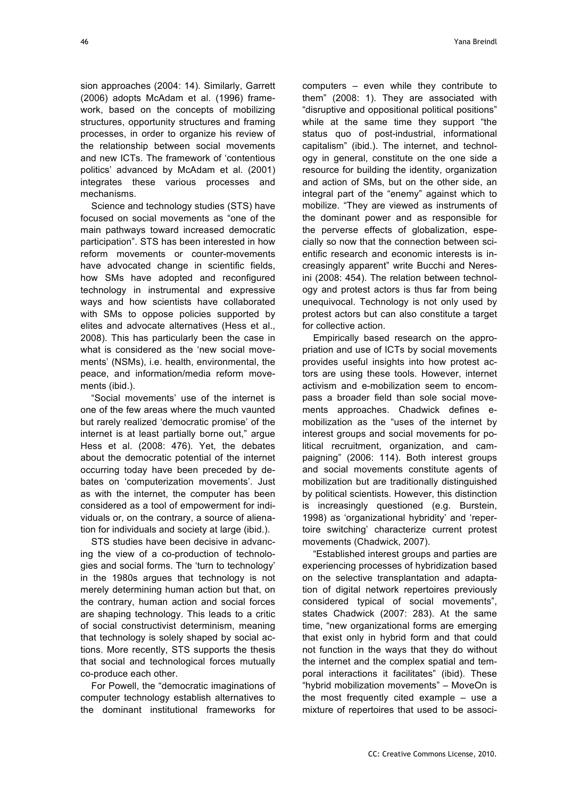sion approaches (2004: 14). Similarly, Garrett (2006) adopts McAdam et al. (1996) framework, based on the concepts of mobilizing structures, opportunity structures and framing processes, in order to organize his review of the relationship between social movements and new ICTs. The framework of 'contentious politics' advanced by McAdam et al. (2001) integrates these various processes and mechanisms.

Science and technology studies (STS) have focused on social movements as "one of the main pathways toward increased democratic participation". STS has been interested in how reform movements or counter-movements have advocated change in scientific fields. how SMs have adopted and reconfigured technology in instrumental and expressive ways and how scientists have collaborated with SMs to oppose policies supported by elites and advocate alternatives (Hess et al., 2008). This has particularly been the case in what is considered as the 'new social movements' (NSMs), i.e. health, environmental, the peace, and information/media reform movements (ibid.).

"Social movements' use of the internet is one of the few areas where the much vaunted but rarely realized 'democratic promise' of the internet is at least partially borne out," argue Hess et al. (2008: 476). Yet, the debates about the democratic potential of the internet occurring today have been preceded by debates on 'computerization movements'. Just as with the internet, the computer has been considered as a tool of empowerment for individuals or, on the contrary, a source of alienation for individuals and society at large (ibid.).

STS studies have been decisive in advancing the view of a co-production of technologies and social forms. The 'turn to technology' in the 1980s argues that technology is not merely determining human action but that, on the contrary, human action and social forces are shaping technology. This leads to a critic of social constructivist determinism, meaning that technology is solely shaped by social actions. More recently, STS supports the thesis that social and technological forces mutually co-produce each other.

For Powell, the "democratic imaginations of computer technology establish alternatives to the dominant institutional frameworks for

computers – even while they contribute to them" (2008: 1). They are associated with "disruptive and oppositional political positions" while at the same time they support "the status quo of post-industrial, informational capitalism" (ibid.). The internet, and technology in general, constitute on the one side a resource for building the identity, organization and action of SMs, but on the other side, an integral part of the "enemy" against which to mobilize. "They are viewed as instruments of the dominant power and as responsible for the perverse effects of globalization, especially so now that the connection between scientific research and economic interests is increasingly apparent" write Bucchi and Neresini (2008: 454). The relation between technology and protest actors is thus far from being unequivocal. Technology is not only used by protest actors but can also constitute a target for collective action.

Empirically based research on the appropriation and use of ICTs by social movements provides useful insights into how protest actors are using these tools. However, internet activism and e-mobilization seem to encompass a broader field than sole social movements approaches. Chadwick defines emobilization as the "uses of the internet by interest groups and social movements for political recruitment, organization, and campaigning" (2006: 114). Both interest groups and social movements constitute agents of mobilization but are traditionally distinguished by political scientists. However, this distinction is increasingly questioned (e.g. Burstein, 1998) as 'organizational hybridity' and 'repertoire switching' characterize current protest movements (Chadwick, 2007).

"Established interest groups and parties are experiencing processes of hybridization based on the selective transplantation and adaptation of digital network repertoires previously considered typical of social movements", states Chadwick (2007: 283). At the same time, "new organizational forms are emerging that exist only in hybrid form and that could not function in the ways that they do without the internet and the complex spatial and temporal interactions it facilitates" (ibid). These "hybrid mobilization movements" – MoveOn is the most frequently cited example – use a mixture of repertoires that used to be associ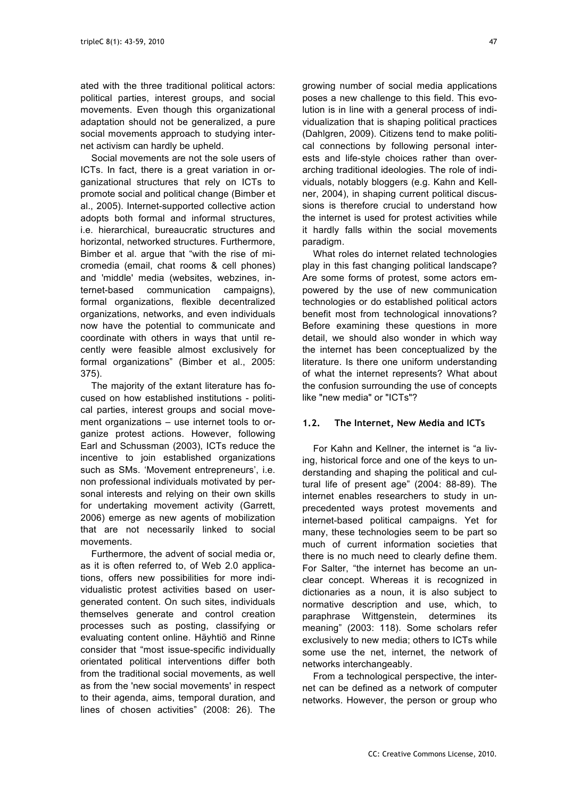ated with the three traditional political actors: political parties, interest groups, and social movements. Even though this organizational adaptation should not be generalized, a pure social movements approach to studying internet activism can hardly be upheld.

Social movements are not the sole users of ICTs. In fact, there is a great variation in organizational structures that rely on ICTs to promote social and political change (Bimber et al., 2005). Internet-supported collective action adopts both formal and informal structures, i.e. hierarchical, bureaucratic structures and horizontal, networked structures. Furthermore, Bimber et al. argue that "with the rise of micromedia (email, chat rooms & cell phones) and 'middle' media (websites, webzines, internet-based communication campaigns), formal organizations, flexible decentralized organizations, networks, and even individuals now have the potential to communicate and coordinate with others in ways that until recently were feasible almost exclusively for formal organizations" (Bimber et al., 2005: 375).

The majority of the extant literature has focused on how established institutions - political parties, interest groups and social movement organizations – use internet tools to organize protest actions. However, following Earl and Schussman (2003), ICTs reduce the incentive to join established organizations such as SMs. 'Movement entrepreneurs', i.e. non professional individuals motivated by personal interests and relying on their own skills for undertaking movement activity (Garrett, 2006) emerge as new agents of mobilization that are not necessarily linked to social movements.

Furthermore, the advent of social media or, as it is often referred to, of Web 2.0 applications, offers new possibilities for more individualistic protest activities based on usergenerated content. On such sites, individuals themselves generate and control creation processes such as posting, classifying or evaluating content online. Häyhtiö and Rinne consider that "most issue-specific individually orientated political interventions differ both from the traditional social movements, as well as from the 'new social movements' in respect to their agenda, aims, temporal duration, and lines of chosen activities" (2008: 26). The growing number of social media applications poses a new challenge to this field. This evolution is in line with a general process of individualization that is shaping political practices (Dahlgren, 2009). Citizens tend to make political connections by following personal interests and life-style choices rather than overarching traditional ideologies. The role of individuals, notably bloggers (e.g. Kahn and Kellner, 2004), in shaping current political discussions is therefore crucial to understand how the internet is used for protest activities while it hardly falls within the social movements paradigm.

What roles do internet related technologies play in this fast changing political landscape? Are some forms of protest, some actors empowered by the use of new communication technologies or do established political actors benefit most from technological innovations? Before examining these questions in more detail, we should also wonder in which way the internet has been conceptualized by the literature. Is there one uniform understanding of what the internet represents? What about the confusion surrounding the use of concepts like "new media" or "ICTs"?

#### **1.2. The Internet, New Media and ICTs**

For Kahn and Kellner, the internet is "a living, historical force and one of the keys to understanding and shaping the political and cultural life of present age" (2004: 88-89). The internet enables researchers to study in unprecedented ways protest movements and internet-based political campaigns. Yet for many, these technologies seem to be part so much of current information societies that there is no much need to clearly define them. For Salter, "the internet has become an unclear concept. Whereas it is recognized in dictionaries as a noun, it is also subject to normative description and use, which, to paraphrase Wittgenstein, determines its meaning" (2003: 118). Some scholars refer exclusively to new media; others to ICTs while some use the net, internet, the network of networks interchangeably.

From a technological perspective, the internet can be defined as a network of computer networks. However, the person or group who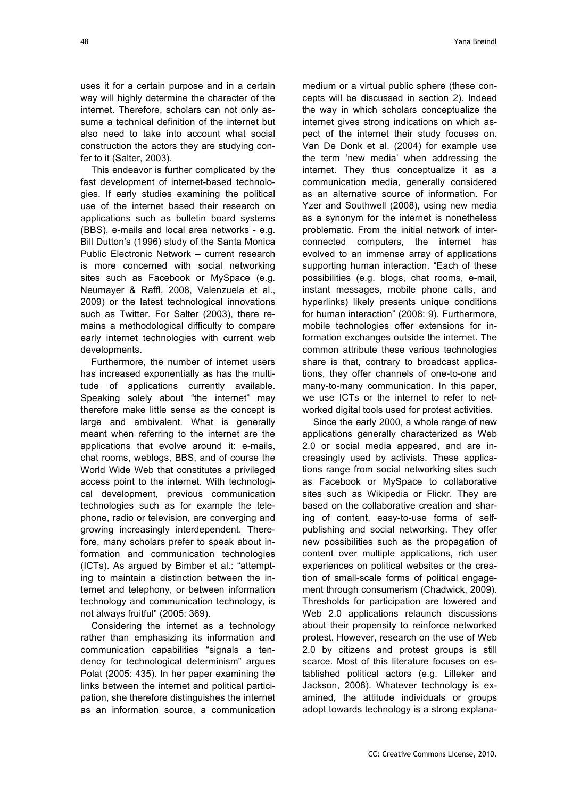uses it for a certain purpose and in a certain way will highly determine the character of the internet. Therefore, scholars can not only assume a technical definition of the internet but also need to take into account what social construction the actors they are studying confer to it (Salter, 2003).

This endeavor is further complicated by the fast development of internet-based technologies. If early studies examining the political use of the internet based their research on applications such as bulletin board systems (BBS), e-mails and local area networks - e.g. Bill Dutton's (1996) study of the Santa Monica Public Electronic Network – current research is more concerned with social networking sites such as Facebook or MySpace (e.g. Neumayer & Raffl, 2008, Valenzuela et al., 2009) or the latest technological innovations such as Twitter. For Salter (2003), there remains a methodological difficulty to compare early internet technologies with current web developments.

Furthermore, the number of internet users has increased exponentially as has the multitude of applications currently available. Speaking solely about "the internet" may therefore make little sense as the concept is large and ambivalent. What is generally meant when referring to the internet are the applications that evolve around it: e-mails, chat rooms, weblogs, BBS, and of course the World Wide Web that constitutes a privileged access point to the internet. With technological development, previous communication technologies such as for example the telephone, radio or television, are converging and growing increasingly interdependent. Therefore, many scholars prefer to speak about information and communication technologies (ICTs). As argued by Bimber et al.: "attempting to maintain a distinction between the internet and telephony, or between information technology and communication technology, is not always fruitful" (2005: 369).

Considering the internet as a technology rather than emphasizing its information and communication capabilities "signals a tendency for technological determinism" argues Polat (2005: 435). In her paper examining the links between the internet and political participation, she therefore distinguishes the internet as an information source, a communication

medium or a virtual public sphere (these concepts will be discussed in section 2). Indeed the way in which scholars conceptualize the internet gives strong indications on which aspect of the internet their study focuses on. Van De Donk et al. (2004) for example use the term 'new media' when addressing the internet. They thus conceptualize it as a communication media, generally considered as an alternative source of information. For Yzer and Southwell (2008), using new media as a synonym for the internet is nonetheless problematic. From the initial network of interconnected computers, the internet has evolved to an immense array of applications supporting human interaction. "Each of these possibilities (e.g. blogs, chat rooms, e-mail, instant messages, mobile phone calls, and hyperlinks) likely presents unique conditions for human interaction" (2008: 9). Furthermore, mobile technologies offer extensions for information exchanges outside the internet. The common attribute these various technologies share is that, contrary to broadcast applications, they offer channels of one-to-one and many-to-many communication. In this paper, we use ICTs or the internet to refer to networked digital tools used for protest activities.

Since the early 2000, a whole range of new applications generally characterized as Web 2.0 or social media appeared, and are increasingly used by activists. These applications range from social networking sites such as Facebook or MySpace to collaborative sites such as Wikipedia or Flickr. They are based on the collaborative creation and sharing of content, easy-to-use forms of selfpublishing and social networking. They offer new possibilities such as the propagation of content over multiple applications, rich user experiences on political websites or the creation of small-scale forms of political engagement through consumerism (Chadwick, 2009). Thresholds for participation are lowered and Web 2.0 applications relaunch discussions about their propensity to reinforce networked protest. However, research on the use of Web 2.0 by citizens and protest groups is still scarce. Most of this literature focuses on established political actors (e.g. Lilleker and Jackson, 2008). Whatever technology is examined, the attitude individuals or groups adopt towards technology is a strong explana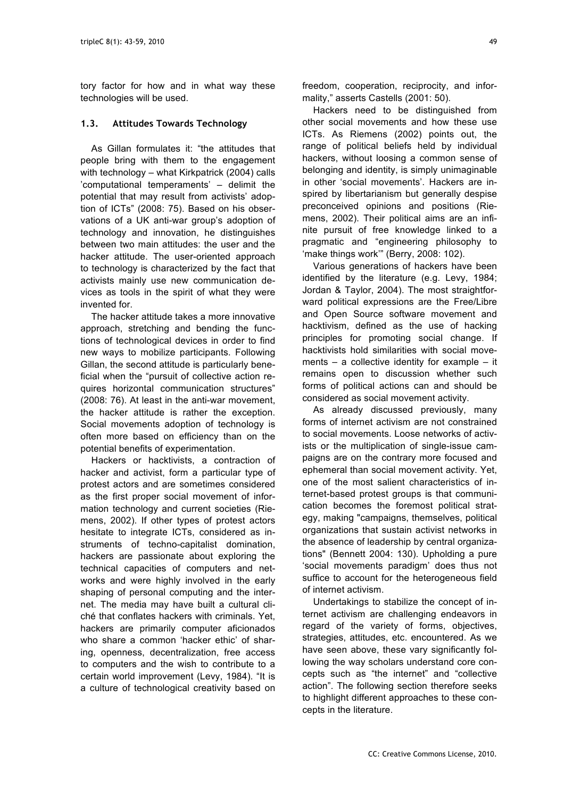tory factor for how and in what way these technologies will be used.

#### **1.3. Attitudes Towards Technology**

As Gillan formulates it: "the attitudes that people bring with them to the engagement with technology – what Kirkpatrick (2004) calls 'computational temperaments' – delimit the potential that may result from activists' adoption of ICTs" (2008: 75). Based on his observations of a UK anti-war group's adoption of technology and innovation, he distinguishes between two main attitudes: the user and the hacker attitude. The user-oriented approach to technology is characterized by the fact that activists mainly use new communication devices as tools in the spirit of what they were invented for.

The hacker attitude takes a more innovative approach, stretching and bending the functions of technological devices in order to find new ways to mobilize participants. Following Gillan, the second attitude is particularly beneficial when the "pursuit of collective action requires horizontal communication structures" (2008: 76). At least in the anti-war movement, the hacker attitude is rather the exception. Social movements adoption of technology is often more based on efficiency than on the potential benefits of experimentation.

Hackers or hacktivists, a contraction of hacker and activist, form a particular type of protest actors and are sometimes considered as the first proper social movement of information technology and current societies (Riemens, 2002). If other types of protest actors hesitate to integrate ICTs, considered as instruments of techno-capitalist domination, hackers are passionate about exploring the technical capacities of computers and networks and were highly involved in the early shaping of personal computing and the internet. The media may have built a cultural cliché that conflates hackers with criminals. Yet, hackers are primarily computer aficionados who share a common 'hacker ethic' of sharing, openness, decentralization, free access to computers and the wish to contribute to a certain world improvement (Levy, 1984). "It is a culture of technological creativity based on

freedom, cooperation, reciprocity, and informality," asserts Castells (2001: 50).

Hackers need to be distinguished from other social movements and how these use ICTs. As Riemens (2002) points out, the range of political beliefs held by individual hackers, without loosing a common sense of belonging and identity, is simply unimaginable in other 'social movements'. Hackers are inspired by libertarianism but generally despise preconceived opinions and positions (Riemens, 2002). Their political aims are an infinite pursuit of free knowledge linked to a pragmatic and "engineering philosophy to 'make things work'" (Berry, 2008: 102).

Various generations of hackers have been identified by the literature (e.g. Levy, 1984; Jordan & Taylor, 2004). The most straightforward political expressions are the Free/Libre and Open Source software movement and hacktivism, defined as the use of hacking principles for promoting social change. If hacktivists hold similarities with social movements – a collective identity for example – it remains open to discussion whether such forms of political actions can and should be considered as social movement activity.

As already discussed previously, many forms of internet activism are not constrained to social movements. Loose networks of activists or the multiplication of single-issue campaigns are on the contrary more focused and ephemeral than social movement activity. Yet, one of the most salient characteristics of internet-based protest groups is that communication becomes the foremost political strategy, making "campaigns, themselves, political organizations that sustain activist networks in the absence of leadership by central organizations" (Bennett 2004: 130). Upholding a pure 'social movements paradigm' does thus not suffice to account for the heterogeneous field of internet activism.

Undertakings to stabilize the concept of internet activism are challenging endeavors in regard of the variety of forms, objectives, strategies, attitudes, etc. encountered. As we have seen above, these vary significantly following the way scholars understand core concepts such as "the internet" and "collective action". The following section therefore seeks to highlight different approaches to these concepts in the literature.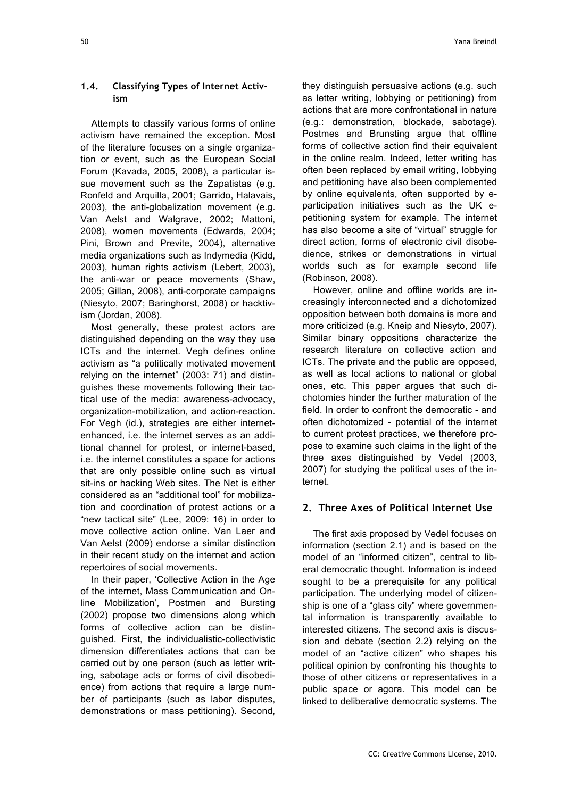# **1.4. Classifying Types of Internet Activism**

Attempts to classify various forms of online activism have remained the exception. Most of the literature focuses on a single organization or event, such as the European Social Forum (Kavada, 2005, 2008), a particular issue movement such as the Zapatistas (e.g. Ronfeld and Arquilla, 2001; Garrido, Halavais, 2003), the anti-globalization movement (e.g. Van Aelst and Walgrave, 2002; Mattoni, 2008), women movements (Edwards, 2004; Pini, Brown and Previte, 2004), alternative media organizations such as Indymedia (Kidd, 2003), human rights activism (Lebert, 2003), the anti-war or peace movements (Shaw, 2005; Gillan, 2008), anti-corporate campaigns (Niesyto, 2007; Baringhorst, 2008) or hacktivism (Jordan, 2008).

Most generally, these protest actors are distinguished depending on the way they use ICTs and the internet. Vegh defines online activism as "a politically motivated movement relying on the internet" (2003: 71) and distinguishes these movements following their tactical use of the media: awareness-advocacy, organization-mobilization, and action-reaction. For Vegh (id.), strategies are either internetenhanced, i.e. the internet serves as an additional channel for protest, or internet-based, i.e. the internet constitutes a space for actions that are only possible online such as virtual sit-ins or hacking Web sites. The Net is either considered as an "additional tool" for mobilization and coordination of protest actions or a "new tactical site" (Lee, 2009: 16) in order to move collective action online. Van Laer and Van Aelst (2009) endorse a similar distinction in their recent study on the internet and action repertoires of social movements.

In their paper, 'Collective Action in the Age of the internet, Mass Communication and Online Mobilization', Postmen and Bursting (2002) propose two dimensions along which forms of collective action can be distinguished. First, the individualistic-collectivistic dimension differentiates actions that can be carried out by one person (such as letter writing, sabotage acts or forms of civil disobedience) from actions that require a large number of participants (such as labor disputes, demonstrations or mass petitioning). Second, they distinguish persuasive actions (e.g. such as letter writing, lobbying or petitioning) from actions that are more confrontational in nature (e.g.: demonstration, blockade, sabotage). Postmes and Brunsting argue that offline forms of collective action find their equivalent in the online realm. Indeed, letter writing has often been replaced by email writing, lobbying and petitioning have also been complemented by online equivalents, often supported by eparticipation initiatives such as the UK epetitioning system for example. The internet has also become a site of "virtual" struggle for direct action, forms of electronic civil disobedience, strikes or demonstrations in virtual worlds such as for example second life (Robinson, 2008).

However, online and offline worlds are increasingly interconnected and a dichotomized opposition between both domains is more and more criticized (e.g. Kneip and Niesyto, 2007). Similar binary oppositions characterize the research literature on collective action and ICTs. The private and the public are opposed, as well as local actions to national or global ones, etc. This paper argues that such dichotomies hinder the further maturation of the field. In order to confront the democratic - and often dichotomized - potential of the internet to current protest practices, we therefore propose to examine such claims in the light of the three axes distinguished by Vedel (2003, 2007) for studying the political uses of the internet.

# **2. Three Axes of Political Internet Use**

The first axis proposed by Vedel focuses on information (section 2.1) and is based on the model of an "informed citizen", central to liberal democratic thought. Information is indeed sought to be a prerequisite for any political participation. The underlying model of citizenship is one of a "glass city" where governmental information is transparently available to interested citizens. The second axis is discussion and debate (section 2.2) relying on the model of an "active citizen" who shapes his political opinion by confronting his thoughts to those of other citizens or representatives in a public space or agora. This model can be linked to deliberative democratic systems. The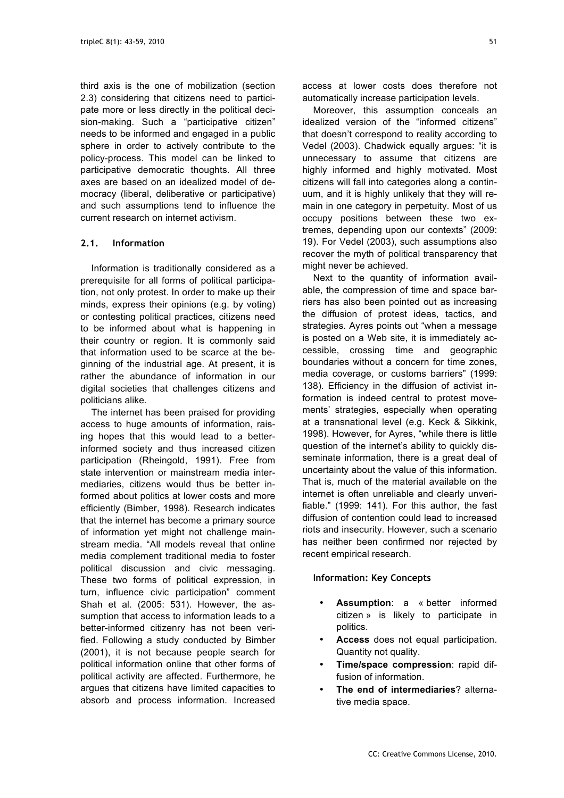third axis is the one of mobilization (section 2.3) considering that citizens need to participate more or less directly in the political decision-making. Such a "participative citizen" needs to be informed and engaged in a public sphere in order to actively contribute to the policy-process. This model can be linked to participative democratic thoughts. All three axes are based on an idealized model of democracy (liberal, deliberative or participative) and such assumptions tend to influence the current research on internet activism.

# **2.1. Information**

Information is traditionally considered as a prerequisite for all forms of political participation, not only protest. In order to make up their minds, express their opinions (e.g. by voting) or contesting political practices, citizens need to be informed about what is happening in their country or region. It is commonly said that information used to be scarce at the beginning of the industrial age. At present, it is rather the abundance of information in our digital societies that challenges citizens and politicians alike.

The internet has been praised for providing access to huge amounts of information, raising hopes that this would lead to a betterinformed society and thus increased citizen participation (Rheingold, 1991). Free from state intervention or mainstream media intermediaries, citizens would thus be better informed about politics at lower costs and more efficiently (Bimber, 1998). Research indicates that the internet has become a primary source of information yet might not challenge mainstream media. "All models reveal that online media complement traditional media to foster political discussion and civic messaging. These two forms of political expression, in turn, influence civic participation" comment Shah et al. (2005: 531). However, the assumption that access to information leads to a better-informed citizenry has not been verified. Following a study conducted by Bimber (2001), it is not because people search for political information online that other forms of political activity are affected. Furthermore, he argues that citizens have limited capacities to absorb and process information. Increased access at lower costs does therefore not automatically increase participation levels.

Moreover, this assumption conceals an idealized version of the "informed citizens" that doesn't correspond to reality according to Vedel (2003). Chadwick equally argues: "it is unnecessary to assume that citizens are highly informed and highly motivated. Most citizens will fall into categories along a continuum, and it is highly unlikely that they will remain in one category in perpetuity. Most of us occupy positions between these two extremes, depending upon our contexts" (2009: 19). For Vedel (2003), such assumptions also recover the myth of political transparency that might never be achieved.

Next to the quantity of information available, the compression of time and space barriers has also been pointed out as increasing the diffusion of protest ideas, tactics, and strategies. Ayres points out "when a message is posted on a Web site, it is immediately accessible, crossing time and geographic boundaries without a concern for time zones, media coverage, or customs barriers" (1999: 138). Efficiency in the diffusion of activist information is indeed central to protest movements' strategies, especially when operating at a transnational level (e.g. Keck & Sikkink, 1998). However, for Ayres, "while there is little question of the internet's ability to quickly disseminate information, there is a great deal of uncertainty about the value of this information. That is, much of the material available on the internet is often unreliable and clearly unverifiable." (1999: 141). For this author, the fast diffusion of contention could lead to increased riots and insecurity. However, such a scenario has neither been confirmed nor rejected by recent empirical research.

## **Information: Key Concepts**

- **Assumption**: a « better informed citizen » is likely to participate in politics.
- **Access** does not equal participation. Quantity not quality.
- **Time/space compression**: rapid diffusion of information.
- **The end of intermediaries**? alternative media space.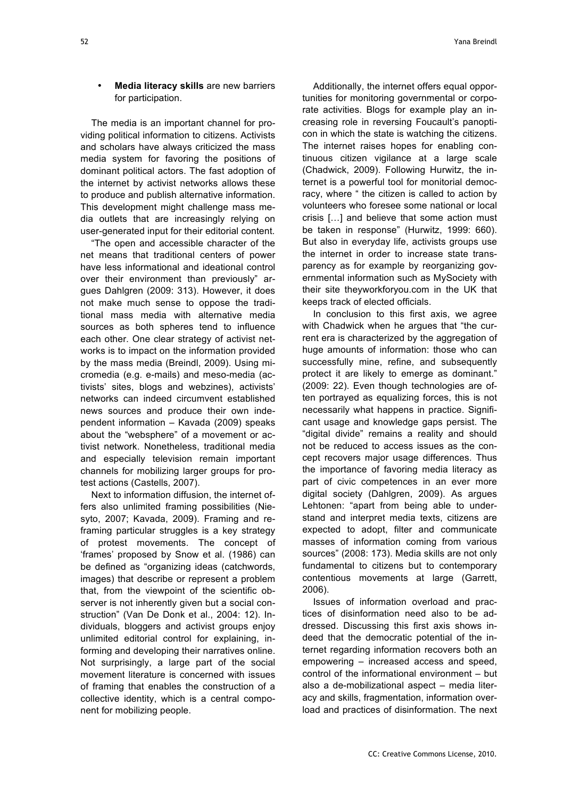## • **Media literacy skills** are new barriers for participation.

The media is an important channel for providing political information to citizens. Activists and scholars have always criticized the mass media system for favoring the positions of dominant political actors. The fast adoption of the internet by activist networks allows these to produce and publish alternative information. This development might challenge mass media outlets that are increasingly relying on user-generated input for their editorial content.

"The open and accessible character of the net means that traditional centers of power have less informational and ideational control over their environment than previously" argues Dahlgren (2009: 313). However, it does not make much sense to oppose the traditional mass media with alternative media sources as both spheres tend to influence each other. One clear strategy of activist networks is to impact on the information provided by the mass media (Breindl, 2009). Using micromedia (e.g. e-mails) and meso-media (activists' sites, blogs and webzines), activists' networks can indeed circumvent established news sources and produce their own independent information – Kavada (2009) speaks about the "websphere" of a movement or activist network. Nonetheless, traditional media and especially television remain important channels for mobilizing larger groups for protest actions (Castells, 2007).

Next to information diffusion, the internet offers also unlimited framing possibilities (Niesyto, 2007; Kavada, 2009). Framing and reframing particular struggles is a key strategy of protest movements. The concept of 'frames' proposed by Snow et al. (1986) can be defined as "organizing ideas (catchwords, images) that describe or represent a problem that, from the viewpoint of the scientific observer is not inherently given but a social construction" (Van De Donk et al., 2004: 12). Individuals, bloggers and activist groups enjoy unlimited editorial control for explaining, informing and developing their narratives online. Not surprisingly, a large part of the social movement literature is concerned with issues of framing that enables the construction of a collective identity, which is a central component for mobilizing people.

Additionally, the internet offers equal opportunities for monitoring governmental or corporate activities. Blogs for example play an increasing role in reversing Foucault's panopticon in which the state is watching the citizens. The internet raises hopes for enabling continuous citizen vigilance at a large scale (Chadwick, 2009). Following Hurwitz, the internet is a powerful tool for monitorial democracy, where " the citizen is called to action by volunteers who foresee some national or local crisis […] and believe that some action must be taken in response" (Hurwitz, 1999: 660). But also in everyday life, activists groups use the internet in order to increase state transparency as for example by reorganizing governmental information such as MySociety with their site theyworkforyou.com in the UK that keeps track of elected officials.

In conclusion to this first axis, we agree with Chadwick when he argues that "the current era is characterized by the aggregation of huge amounts of information: those who can successfully mine, refine, and subsequently protect it are likely to emerge as dominant." (2009: 22). Even though technologies are often portrayed as equalizing forces, this is not necessarily what happens in practice. Significant usage and knowledge gaps persist. The "digital divide" remains a reality and should not be reduced to access issues as the concept recovers major usage differences. Thus the importance of favoring media literacy as part of civic competences in an ever more digital society (Dahlgren, 2009). As argues Lehtonen: "apart from being able to understand and interpret media texts, citizens are expected to adopt, filter and communicate masses of information coming from various sources" (2008: 173). Media skills are not only fundamental to citizens but to contemporary contentious movements at large (Garrett, 2006).

Issues of information overload and practices of disinformation need also to be addressed. Discussing this first axis shows indeed that the democratic potential of the internet regarding information recovers both an empowering – increased access and speed, control of the informational environment – but also a de-mobilizational aspect – media literacy and skills, fragmentation, information overload and practices of disinformation. The next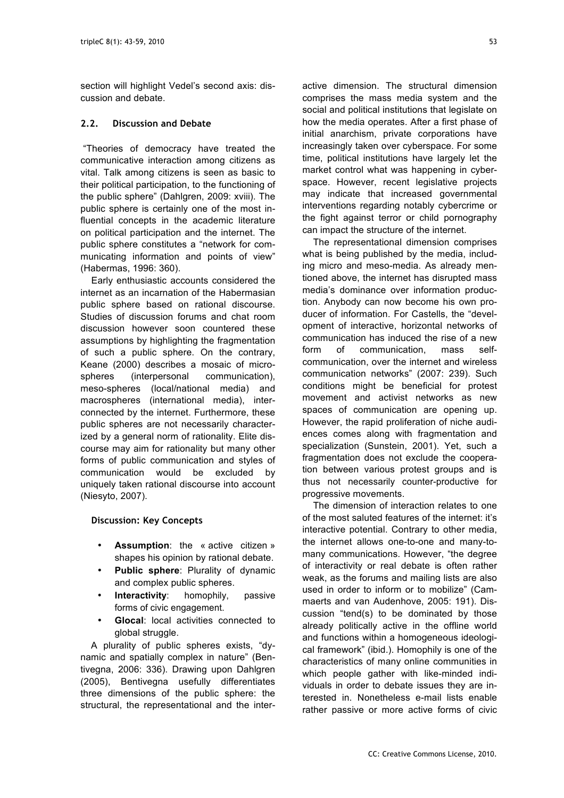section will highlight Vedel's second axis: discussion and debate.

# **2.2. Discussion and Debate**

 "Theories of democracy have treated the communicative interaction among citizens as vital. Talk among citizens is seen as basic to their political participation, to the functioning of the public sphere" (Dahlgren, 2009: xviii). The public sphere is certainly one of the most influential concepts in the academic literature on political participation and the internet. The public sphere constitutes a "network for communicating information and points of view" (Habermas, 1996: 360).

Early enthusiastic accounts considered the internet as an incarnation of the Habermasian public sphere based on rational discourse. Studies of discussion forums and chat room discussion however soon countered these assumptions by highlighting the fragmentation of such a public sphere. On the contrary, Keane (2000) describes a mosaic of microspheres (interpersonal communication), meso-spheres (local/national media) and macrospheres (international media), interconnected by the internet. Furthermore, these public spheres are not necessarily characterized by a general norm of rationality. Elite discourse may aim for rationality but many other forms of public communication and styles of communication would be excluded by uniquely taken rational discourse into account (Niesyto, 2007).

## **Discussion: Key Concepts**

- **Assumption**: the « active citizen » shapes his opinion by rational debate.
- **Public sphere**: Plurality of dynamic and complex public spheres.
- **Interactivity:** homophily, passive forms of civic engagement.
- **Glocal**: local activities connected to global struggle.

 A plurality of public spheres exists, "dynamic and spatially complex in nature" (Bentivegna, 2006: 336). Drawing upon Dahlgren (2005), Bentivegna usefully differentiates three dimensions of the public sphere: the structural, the representational and the interactive dimension. The structural dimension comprises the mass media system and the social and political institutions that legislate on how the media operates. After a first phase of initial anarchism, private corporations have increasingly taken over cyberspace. For some time, political institutions have largely let the market control what was happening in cyberspace. However, recent legislative projects may indicate that increased governmental interventions regarding notably cybercrime or the fight against terror or child pornography can impact the structure of the internet.

The representational dimension comprises what is being published by the media, including micro and meso-media. As already mentioned above, the internet has disrupted mass media's dominance over information production. Anybody can now become his own producer of information. For Castells, the "development of interactive, horizontal networks of communication has induced the rise of a new form of communication, mass selfcommunication, over the internet and wireless communication networks" (2007: 239). Such conditions might be beneficial for protest movement and activist networks as new spaces of communication are opening up. However, the rapid proliferation of niche audiences comes along with fragmentation and specialization (Sunstein, 2001). Yet, such a fragmentation does not exclude the cooperation between various protest groups and is thus not necessarily counter-productive for progressive movements.

The dimension of interaction relates to one of the most saluted features of the internet: it's interactive potential. Contrary to other media, the internet allows one-to-one and many-tomany communications. However, "the degree of interactivity or real debate is often rather weak, as the forums and mailing lists are also used in order to inform or to mobilize" (Cammaerts and van Audenhove, 2005: 191). Discussion "tend(s) to be dominated by those already politically active in the offline world and functions within a homogeneous ideological framework" (ibid.). Homophily is one of the characteristics of many online communities in which people gather with like-minded individuals in order to debate issues they are interested in. Nonetheless e-mail lists enable rather passive or more active forms of civic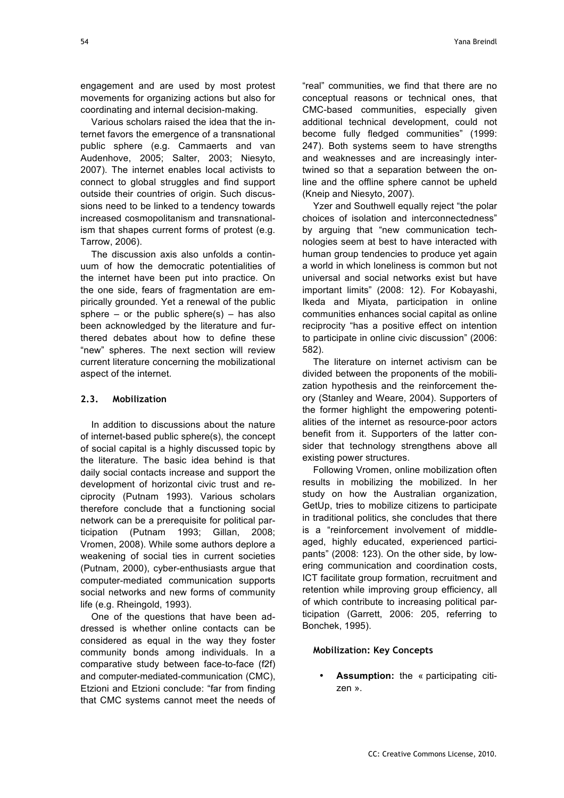engagement and are used by most protest movements for organizing actions but also for coordinating and internal decision-making.

Various scholars raised the idea that the internet favors the emergence of a transnational public sphere (e.g. Cammaerts and van Audenhove, 2005; Salter, 2003; Niesyto, 2007). The internet enables local activists to connect to global struggles and find support outside their countries of origin. Such discussions need to be linked to a tendency towards increased cosmopolitanism and transnationalism that shapes current forms of protest (e.g. Tarrow, 2006).

The discussion axis also unfolds a continuum of how the democratic potentialities of the internet have been put into practice. On the one side, fears of fragmentation are empirically grounded. Yet a renewal of the public sphere – or the public sphere(s) – has also been acknowledged by the literature and furthered debates about how to define these "new" spheres. The next section will review current literature concerning the mobilizational aspect of the internet.

# **2.3. Mobilization**

In addition to discussions about the nature of internet-based public sphere(s), the concept of social capital is a highly discussed topic by the literature. The basic idea behind is that daily social contacts increase and support the development of horizontal civic trust and reciprocity (Putnam 1993). Various scholars therefore conclude that a functioning social network can be a prerequisite for political participation (Putnam 1993; Gillan, 2008; Vromen, 2008). While some authors deplore a weakening of social ties in current societies (Putnam, 2000), cyber-enthusiasts argue that computer-mediated communication supports social networks and new forms of community life (e.g. Rheingold, 1993).

One of the questions that have been addressed is whether online contacts can be considered as equal in the way they foster community bonds among individuals. In a comparative study between face-to-face (f2f) and computer-mediated-communication (CMC), Etzioni and Etzioni conclude: "far from finding that CMC systems cannot meet the needs of

"real" communities, we find that there are no conceptual reasons or technical ones, that CMC-based communities, especially given additional technical development, could not become fully fledged communities" (1999: 247). Both systems seem to have strengths and weaknesses and are increasingly intertwined so that a separation between the online and the offline sphere cannot be upheld (Kneip and Niesyto, 2007).

Yzer and Southwell equally reject "the polar choices of isolation and interconnectedness" by arguing that "new communication technologies seem at best to have interacted with human group tendencies to produce yet again a world in which loneliness is common but not universal and social networks exist but have important limits" (2008: 12). For Kobayashi, Ikeda and Miyata, participation in online communities enhances social capital as online reciprocity "has a positive effect on intention to participate in online civic discussion" (2006: 582).

The literature on internet activism can be divided between the proponents of the mobilization hypothesis and the reinforcement theory (Stanley and Weare, 2004). Supporters of the former highlight the empowering potentialities of the internet as resource-poor actors benefit from it. Supporters of the latter consider that technology strengthens above all existing power structures.

Following Vromen, online mobilization often results in mobilizing the mobilized. In her study on how the Australian organization, GetUp, tries to mobilize citizens to participate in traditional politics, she concludes that there is a "reinforcement involvement of middleaged, highly educated, experienced participants" (2008: 123). On the other side, by lowering communication and coordination costs, ICT facilitate group formation, recruitment and retention while improving group efficiency, all of which contribute to increasing political participation (Garrett, 2006: 205, referring to Bonchek, 1995).

## **Mobilization: Key Concepts**

• **Assumption:** the « participating citizen ».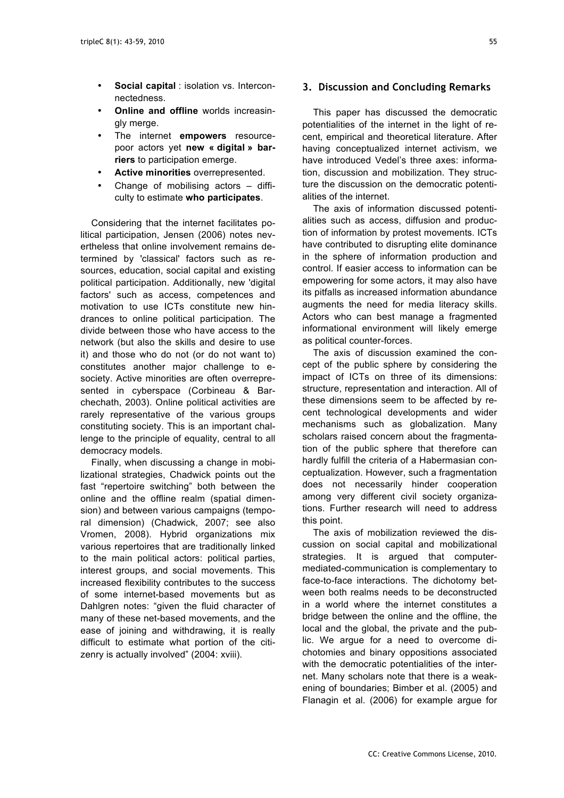- **Social capital** : isolation vs. Interconnectedness.
- **Online and offline** worlds increasingly merge.
- The internet **empowers** resourcepoor actors yet **new « digital » barriers** to participation emerge.
- **Active minorities** overrepresented.
- Change of mobilising actors difficulty to estimate **who participates**.

Considering that the internet facilitates political participation, Jensen (2006) notes nevertheless that online involvement remains determined by 'classical' factors such as resources, education, social capital and existing political participation. Additionally, new 'digital factors' such as access, competences and motivation to use ICTs constitute new hindrances to online political participation. The divide between those who have access to the network (but also the skills and desire to use it) and those who do not (or do not want to) constitutes another major challenge to esociety. Active minorities are often overrepresented in cyberspace (Corbineau & Barchechath, 2003). Online political activities are rarely representative of the various groups constituting society. This is an important challenge to the principle of equality, central to all democracy models.

Finally, when discussing a change in mobilizational strategies, Chadwick points out the fast "repertoire switching" both between the online and the offline realm (spatial dimension) and between various campaigns (temporal dimension) (Chadwick, 2007; see also Vromen, 2008). Hybrid organizations mix various repertoires that are traditionally linked to the main political actors: political parties, interest groups, and social movements. This increased flexibility contributes to the success of some internet-based movements but as Dahlgren notes: "given the fluid character of many of these net-based movements, and the ease of joining and withdrawing, it is really difficult to estimate what portion of the citizenry is actually involved" (2004: xviii).

## **3. Discussion and Concluding Remarks**

This paper has discussed the democratic potentialities of the internet in the light of recent, empirical and theoretical literature. After having conceptualized internet activism, we have introduced Vedel's three axes: information, discussion and mobilization. They structure the discussion on the democratic potentialities of the internet.

The axis of information discussed potentialities such as access, diffusion and production of information by protest movements. ICTs have contributed to disrupting elite dominance in the sphere of information production and control. If easier access to information can be empowering for some actors, it may also have its pitfalls as increased information abundance augments the need for media literacy skills. Actors who can best manage a fragmented informational environment will likely emerge as political counter-forces.

The axis of discussion examined the concept of the public sphere by considering the impact of ICTs on three of its dimensions: structure, representation and interaction. All of these dimensions seem to be affected by recent technological developments and wider mechanisms such as globalization. Many scholars raised concern about the fragmentation of the public sphere that therefore can hardly fulfill the criteria of a Habermasian conceptualization. However, such a fragmentation does not necessarily hinder cooperation among very different civil society organizations. Further research will need to address this point.

The axis of mobilization reviewed the discussion on social capital and mobilizational strategies. It is argued that computermediated-communication is complementary to face-to-face interactions. The dichotomy between both realms needs to be deconstructed in a world where the internet constitutes a bridge between the online and the offline, the local and the global, the private and the public. We argue for a need to overcome dichotomies and binary oppositions associated with the democratic potentialities of the internet. Many scholars note that there is a weakening of boundaries; Bimber et al. (2005) and Flanagin et al. (2006) for example argue for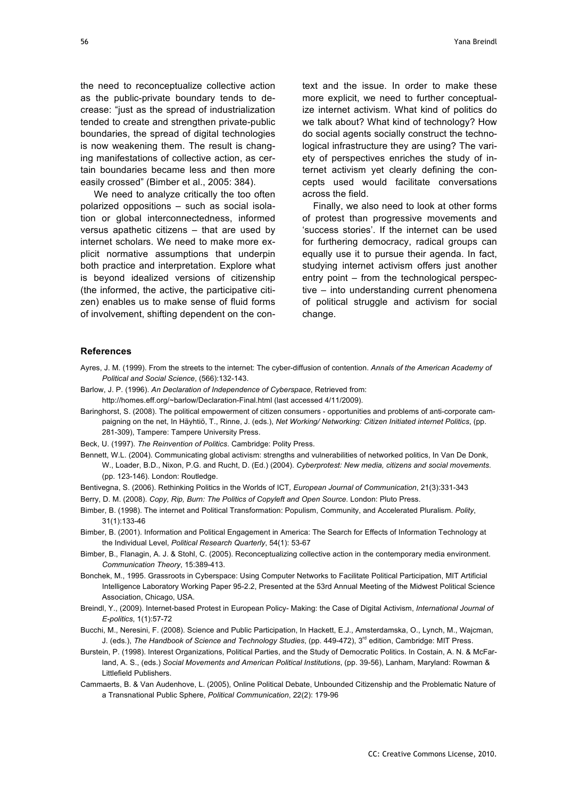the need to reconceptualize collective action as the public-private boundary tends to decrease: "just as the spread of industrialization tended to create and strengthen private-public boundaries, the spread of digital technologies is now weakening them. The result is changing manifestations of collective action, as certain boundaries became less and then more easily crossed" (Bimber et al., 2005: 384).

We need to analyze critically the too often polarized oppositions – such as social isolation or global interconnectedness, informed versus apathetic citizens – that are used by internet scholars. We need to make more explicit normative assumptions that underpin both practice and interpretation. Explore what is beyond idealized versions of citizenship (the informed, the active, the participative citizen) enables us to make sense of fluid forms of involvement, shifting dependent on the context and the issue. In order to make these more explicit, we need to further conceptualize internet activism. What kind of politics do we talk about? What kind of technology? How do social agents socially construct the technological infrastructure they are using? The variety of perspectives enriches the study of internet activism yet clearly defining the concepts used would facilitate conversations across the field.

Finally, we also need to look at other forms of protest than progressive movements and 'success stories'. If the internet can be used for furthering democracy, radical groups can equally use it to pursue their agenda. In fact, studying internet activism offers just another entry point – from the technological perspective – into understanding current phenomena of political struggle and activism for social change.

#### **References**

- Ayres, J. M. (1999). From the streets to the internet: The cyber-diffusion of contention. *Annals of the American Academy of Political and Social Science*, (566):132-143.
- Barlow, J. P. (1996). *An Declaration of Independence of Cyberspace*, Retrieved from:
- http://homes.eff.org/~barlow/Declaration-Final.html (last accessed 4/11/2009).
- Baringhorst, S. (2008). The political empowerment of citizen consumers opportunities and problems of anti-corporate campaigning on the net, In Häyhtiö, T., Rinne, J. (eds.), *Net Working/ Networking: Citizen Initiated internet Politics*, (pp. 281-309), Tampere: Tampere University Press.
- Beck, U. (1997). *The Reinvention of Politics*. Cambridge: Polity Press.
- Bennett, W.L. (2004). Communicating global activism: strengths and vulnerabilities of networked politics, In Van De Donk, W., Loader, B.D., Nixon, P.G. and Rucht, D. (Ed.) (2004). *Cyberprotest: New media, citizens and social movements*. (pp. 123-146). London: Routledge.
- Bentivegna, S. (2006). Rethinking Politics in the Worlds of ICT*, European Journal of Communication*, 21(3):331-343 Berry, D. M. (2008). *Copy, Rip, Burn: The Politics of Copyleft and Open Source*. London: Pluto Press.
- Bimber, B. (1998). The internet and Political Transformation: Populism, Community, and Accelerated Pluralism. *Polity*, 31(1):133-46
- Bimber, B. (2001). Information and Political Engagement in America: The Search for Effects of Information Technology at the Individual Level, *Political Research Quarterly*, 54(1): 53-67
- Bimber, B., Flanagin, A. J. & Stohl, C. (2005). Reconceptualizing collective action in the contemporary media environment. *Communication Theory*, 15:389-413.
- Bonchek, M., 1995. Grassroots in Cyberspace: Using Computer Networks to Facilitate Political Participation, MIT Artificial Intelligence Laboratory Working Paper 95-2.2, Presented at the 53rd Annual Meeting of the Midwest Political Science Association, Chicago, USA.
- Breindl, Y., (2009). Internet-based Protest in European Policy- Making: the Case of Digital Activism, *International Journal of E-politics*, 1(1):57-72
- Bucchi, M., Neresini, F. (2008). Science and Public Participation, In Hackett, E.J., Amsterdamska, O., Lynch, M., Wajcman, J. (eds.), *The Handbook of Science and Technology Studies*, (pp. 449-472), 3rd edition, Cambridge: MIT Press.
- Burstein, P. (1998). Interest Organizations, Political Parties, and the Study of Democratic Politics. In Costain, A. N. & McFarland, A. S., (eds.) *Social Movements and American Political Institutions*, (pp. 39-56), Lanham, Maryland: Rowman & Littlefield Publishers.
- Cammaerts, B. & Van Audenhove, L. (2005), Online Political Debate, Unbounded Citizenship and the Problematic Nature of a Transnational Public Sphere, *Political Communication*, 22(2): 179-96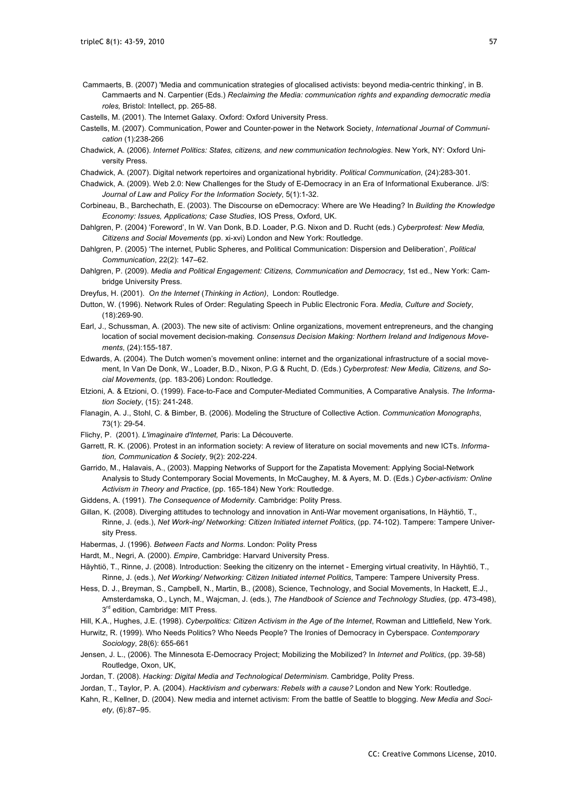Cammaerts, B. (2007) 'Media and communication strategies of glocalised activists: beyond media-centric thinking', in B. Cammaerts and N. Carpentier (Eds.) *Reclaiming the Media: communication rights and expanding democratic media roles,* Bristol: Intellect, pp. 265-88.

Castells, M. (2001). The Internet Galaxy. Oxford: Oxford University Press.

- Castells, M. (2007). Communication, Power and Counter-power in the Network Society, *International Journal of Communication* (1):238-266
- Chadwick, A. (2006). *Internet Politics: States, citizens, and new communication technologies*. New York, NY: Oxford University Press.
- Chadwick, A. (2007). Digital network repertoires and organizational hybridity. *Political Communication*, (24):283-301.
- Chadwick, A. (2009). Web 2.0: New Challenges for the Study of E-Democracy in an Era of Informational Exuberance. J/S: *Journal of Law and Policy For the Information Society*, 5(1):1-32.
- Corbineau, B., Barchechath, E. (2003). The Discourse on eDemocracy: Where are We Heading? In *Building the Knowledge Economy: Issues, Applications; Case Studies*, IOS Press, Oxford, UK.
- Dahlgren, P. (2004) 'Foreword', In W. Van Donk, B.D. Loader, P.G. Nixon and D. Rucht (eds.) *Cyberprotest: New Media, Citizens and Social Movements* (pp. xi-xvi) London and New York: Routledge.
- Dahlgren, P. (2005) 'The internet, Public Spheres, and Political Communication: Dispersion and Deliberation', *Political Communication*, 22(2): 147–62.
- Dahlgren, P. (2009). *Media and Political Engagement: Citizens, Communication and Democracy*, 1st ed., New York: Cambridge University Press.
- Dreyfus, H. (2001). *On the Internet* (*Thinking in Action)*, London: Routledge.
- Dutton, W. (1996). Network Rules of Order: Regulating Speech in Public Electronic Fora. *Media, Culture and Society*, (18):269-90.
- Earl, J., Schussman, A. (2003). The new site of activism: Online organizations, movement entrepreneurs, and the changing location of social movement decision-making*. Consensus Decision Making: Northern Ireland and Indigenous Movements*, (24):155-187.
- Edwards, A. (2004). The Dutch women's movement online: internet and the organizational infrastructure of a social movement, In Van De Donk, W., Loader, B.D., Nixon, P.G & Rucht, D. (Eds.) *Cyberprotest: New Media, Citizens, and Social Movements*, (pp. 183-206) London: Routledge.
- Etzioni, A. & Etzioni, O. (1999). Face-to-Face and Computer-Mediated Communities, A Comparative Analysis. *The Information Society*, (15): 241-248.
- Flanagin, A. J., Stohl, C. & Bimber, B. (2006). Modeling the Structure of Collective Action. *Communication Monographs*, 73(1): 29-54.
- Flichy, P. (2001). *L'imaginaire d'Internet,* Paris: La Découverte.
- Garrett, R. K. (2006). Protest in an information society: A review of literature on social movements and new ICTs. *Information, Communication & Society*, 9(2): 202-224.
- Garrido, M., Halavais, A., (2003). Mapping Networks of Support for the Zapatista Movement: Applying Social-Network Analysis to Study Contemporary Social Movements, In McCaughey, M. & Ayers, M. D. (Eds.) *Cyber-activism: Online Activism in Theory and Practice*, (pp. 165-184) New York: Routledge.
- Giddens, A. (1991). *The Consequence of Modernity*. Cambridge: Polity Press.
- Gillan, K. (2008). Diverging attitudes to technology and innovation in Anti-War movement organisations, In Häyhtiö, T., Rinne, J. (eds.), *Net Work-ing/ Networking: Citizen Initiated internet Politics*, (pp. 74-102). Tampere: Tampere University Press.
- Habermas, J. (1996). *Between Facts and Norms*. London: Polity Press
- Hardt, M., Negri, A. (2000). *Empire*, Cambridge: Harvard University Press.
- Häyhtiö, T., Rinne, J. (2008). Introduction: Seeking the citizenry on the internet Emerging virtual creativity, In Häyhtiö, T., Rinne, J. (eds.), *Net Working/ Networking: Citizen Initiated internet Politics*, Tampere: Tampere University Press.
- Hess, D. J., Breyman, S., Campbell, N., Martin, B., (2008), Science, Technology, and Social Movements, In Hackett, E.J., Amsterdamska, O., Lynch, M., Wajcman, J. (eds.), *The Handbook of Science and Technology Studies*, (pp. 473-498),  $3<sup>rd</sup>$  edition, Cambridge: MIT Press.
- Hill, K.A., Hughes, J.E. (1998). *Cyberpolitics: Citizen Activism in the Age of the Internet*, Rowman and Littlefield, New York.
- Hurwitz, R. (1999). Who Needs Politics? Who Needs People? The Ironies of Democracy in Cyberspace. *Contemporary Sociology*, 28(6): 655-661
- Jensen, J. L., (2006). The Minnesota E-Democracy Project; Mobilizing the Mobilized? In *Internet and Politics*, (pp. 39-58) Routledge, Oxon, UK,
- Jordan, T. (2008). *Hacking: Digital Media and Technological Determinism*. Cambridge, Polity Press.
- Jordan, T., Taylor, P. A. (2004). *Hacktivism and cyberwars: Rebels with a cause?* London and New York: Routledge.
- Kahn, R., Kellner, D. (2004). New media and internet activism: From the battle of Seattle to blogging. *New Media and Society*, (6):87–95.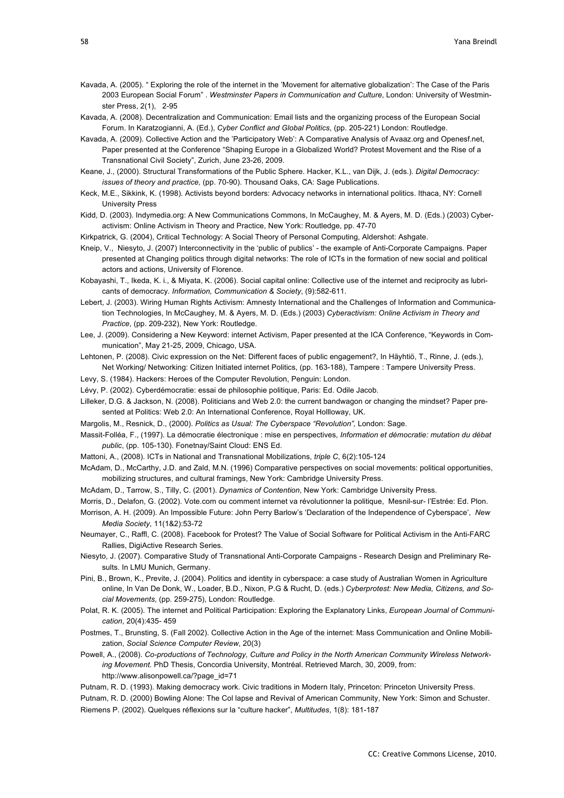- Kavada, A. (2005). " Exploring the role of the internet in the 'Movement for alternative globalization': The Case of the Paris 2003 European Social Forum" . *Westminster Papers in Communication and Culture*, London: University of Westminster Press, 2(1), 2-95
- Kavada, A. (2008). Decentralization and Communication: Email lists and the organizing process of the European Social Forum. In Karatzogianni, A. (Ed.), *Cyber Conflict and Global Politics*, (pp. 205-221) London: Routledge.
- Kavada, A. (2009). Collective Action and the 'Participatory Web': A Comparative Analysis of Avaaz.org and Openesf.net, Paper presented at the Conference "Shaping Europe in a Globalized World? Protest Movement and the Rise of a Transnational Civil Society", Zurich, June 23-26, 2009.
- Keane, J., (2000). Structural Transformations of the Public Sphere. Hacker, K.L., van Dijk, J. (eds.). *Digital Democracy: issues of theory and practice,* (pp. 70-90). Thousand Oaks, CA: Sage Publications.
- Keck, M.E., Sikkink, K. (1998). Activists beyond borders: Advocacy networks in international politics. Ithaca, NY: Cornell University Press
- Kidd, D. (2003). Indymedia.org: A New Communications Commons, In McCaughey, M. & Ayers, M. D. (Eds.) (2003) Cyberactivism: Online Activism in Theory and Practice, New York: Routledge, pp. 47-70
- Kirkpatrick, G. (2004), Critical Technology: A Social Theory of Personal Computing, Aldershot: Ashgate.
- Kneip, V., Niesyto, J. (2007) Interconnectivity in the 'public of publics' the example of Anti-Corporate Campaigns. Paper presented at Changing politics through digital networks: The role of ICTs in the formation of new social and political actors and actions, University of Florence.
- Kobayashi, T., Ikeda, K. i., & Miyata, K. (2006). Social capital online: Collective use of the internet and reciprocity as lubricants of democracy. *Information, Communication & Society*, (9):582-611.
- Lebert, J. (2003). Wiring Human Rights Activism: Amnesty International and the Challenges of Information and Communication Technologies, In McCaughey, M. & Ayers, M. D. (Eds.) (2003) *Cyberactivism: Online Activism in Theory and Practice*, (pp. 209-232), New York: Routledge.
- Lee, J. (2009). Considering a New Keyword: internet Activism, Paper presented at the ICA Conference, "Keywords in Communication", May 21-25, 2009, Chicago, USA.
- Lehtonen, P. (2008). Civic expression on the Net: Different faces of public engagement?, In Häyhtiö, T., Rinne, J. (eds.), Net Working/ Networking: Citizen Initiated internet Politics, (pp. 163-188), Tampere : Tampere University Press.
- Levy, S. (1984). Hackers: Heroes of the Computer Revolution, Penguin: London.
- Lévy, P. (2002). Cyberdémocratie: essai de philosophie politique, Paris: Ed. Odile Jacob.
- Lilleker, D.G. & Jackson, N. (2008). Politicians and Web 2.0: the current bandwagon or changing the mindset? Paper presented at Politics: Web 2.0: An International Conference, Royal Hollloway, UK.
- Margolis, M., Resnick, D., (2000). *Politics as Usual: The Cyberspace "Revolution",* London: Sage.
- Massit-Folléa, F., (1997). La démocratie électronique : mise en perspectives, *Information et démocratie: mutation du débat public*, (pp. 105-130). Fonetnay/Saint Cloud: ENS Ed.
- Mattoni, A., (2008). ICTs in National and Transnational Mobilizations, *triple C*, 6(2):105-124
- McAdam, D., McCarthy, J.D. and Zald, M.N. (1996) Comparative perspectives on social movements: political opportunities, mobilizing structures, and cultural framings, New York: Cambridge University Press.
- McAdam, D., Tarrow, S., Tilly, C. (2001). *Dynamics of Contention*, New York: Cambridge University Press.
- Morris, D., Delafon, G. (2002). Vote.com ou comment internet va révolutionner la politique, Mesnil-sur- l'Estrée: Ed. Plon.
- Morrison, A. H. (2009). An Impossible Future: John Perry Barlow's 'Declaration of the Independence of Cyberspace', *New Media Society*, 11(1&2):53-72
- Neumayer, C., Raffl, C. (2008). Facebook for Protest? The Value of Social Software for Political Activism in the Anti-FARC Rallies, DigiActive Research Series.
- Niesyto, J. (2007). Comparative Study of Transnational Anti-Corporate Campaigns Research Design and Preliminary Results. In LMU Munich, Germany.
- Pini, B., Brown, K., Previte, J. (2004). Politics and identity in cyberspace: a case study of Australian Women in Agriculture online, In Van De Donk, W., Loader, B.D., Nixon, P.G & Rucht, D. (eds.) *Cyberprotest: New Media, Citizens, and Social Movements*, (pp. 259-275), London: Routledge.
- Polat, R. K. (2005). The internet and Political Participation: Exploring the Explanatory Links, *European Journal of Communication*, 20(4):435- 459
- Postmes, T., Brunsting, S. (Fall 2002). Collective Action in the Age of the internet: Mass Communication and Online Mobilization, *Social Science Computer Review*, 20(3)
- Powell, A., (2008). *Co-productions of Technology, Culture and Policy in the North American Community Wireless Networking Movement*. PhD Thesis, Concordia University, Montréal. Retrieved March, 30, 2009, from: http://www.alisonpowell.ca/?page\_id=71
- Putnam, R. D. (1993). Making democracy work. Civic traditions in Modern Italy, Princeton: Princeton University Press.
- Putnam, R. D. (2000) Bowling Alone: The Col lapse and Revival of American Community, New York: Simon and Schuster. Riemens P. (2002). Quelques réflexions sur la "culture hacker", *Multitudes*, 1(8): 181-187